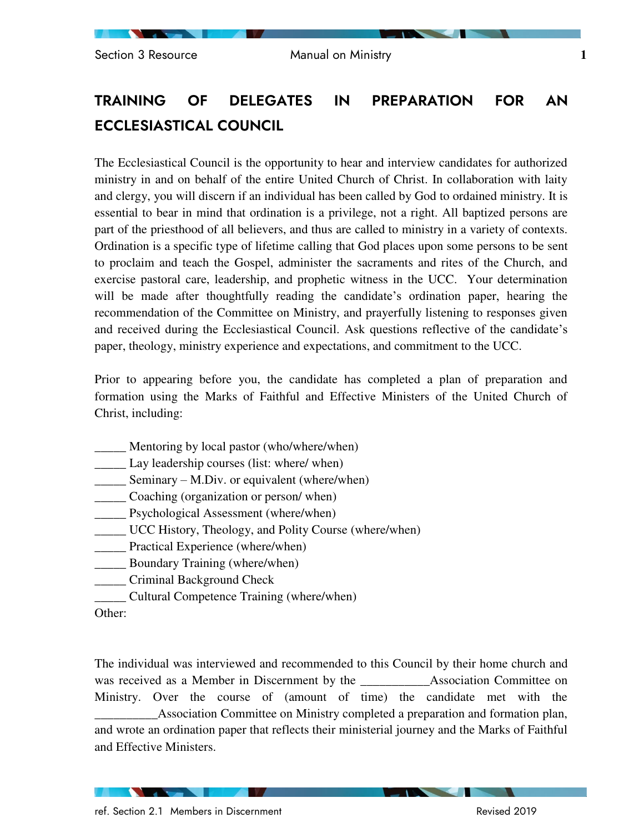# **TRAINING OF DELEGATES IN PREPARATION FOR AN ECCLESIASTICAL COUNCIL**

The Ecclesiastical Council is the opportunity to hear and interview candidates for authorized ministry in and on behalf of the entire United Church of Christ. In collaboration with laity and clergy, you will discern if an individual has been called by God to ordained ministry. It is essential to bear in mind that ordination is a privilege, not a right. All baptized persons are part of the priesthood of all believers, and thus are called to ministry in a variety of contexts. Ordination is a specific type of lifetime calling that God places upon some persons to be sent to proclaim and teach the Gospel, administer the sacraments and rites of the Church, and exercise pastoral care, leadership, and prophetic witness in the UCC. Your determination will be made after thoughtfully reading the candidate's ordination paper, hearing the recommendation of the Committee on Ministry, and prayerfully listening to responses given and received during the Ecclesiastical Council. Ask questions reflective of the candidate's paper, theology, ministry experience and expectations, and commitment to the UCC.

Prior to appearing before you, the candidate has completed a plan of preparation and formation using the Marks of Faithful and Effective Ministers of the United Church of Christ, including:

- Mentoring by local pastor (who/where/when)
- \_\_\_\_\_ Lay leadership courses (list: where/ when)
- $\equiv$  Seminary M.Div. or equivalent (where/when)
- \_\_\_\_\_ Coaching (organization or person/ when)
- \_\_\_\_\_ Psychological Assessment (where/when)
- \_\_\_\_\_ UCC History, Theology, and Polity Course (where/when)
- \_\_\_\_\_ Practical Experience (where/when)
- **EXECUTE:** Boundary Training (where/when)
- \_\_\_\_\_ Criminal Background Check
- \_\_\_\_\_ Cultural Competence Training (where/when)

Other:

The individual was interviewed and recommended to this Council by their home church and was received as a Member in Discernment by the **Association** Committee on Ministry. Over the course of (amount of time) the candidate met with the \_\_\_\_\_\_\_\_\_\_Association Committee on Ministry completed a preparation and formation plan, and wrote an ordination paper that reflects their ministerial journey and the Marks of Faithful and Effective Ministers.

**Contract Contract Contract Contract**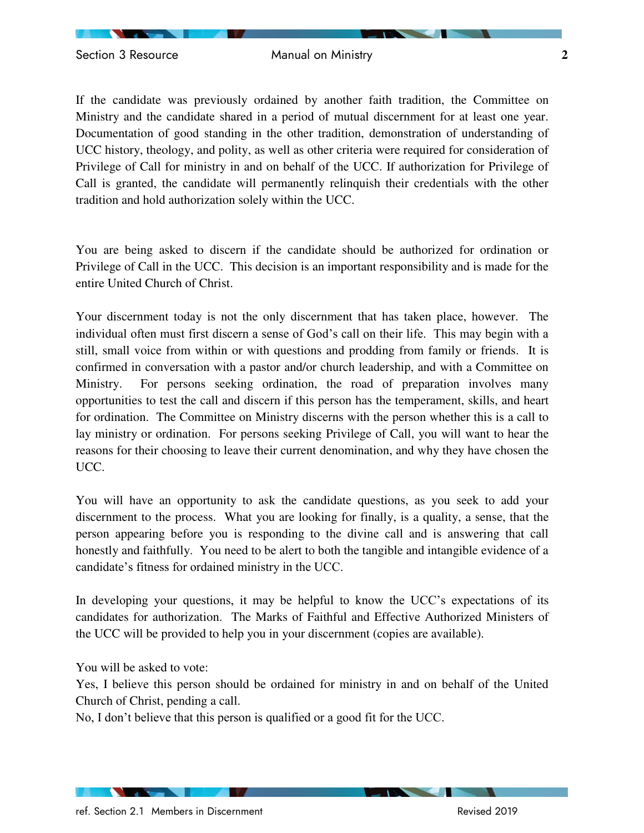If the candidate was previously ordained by another faith tradition, the Committee on Ministry and the candidate shared in a period of mutual discernment for at least one year. Documentation of good standing in the other tradition, demonstration of understanding of UCC history, theology, and polity, as well as other criteria were required for consideration of Privilege of Call for ministry in and on behalf of the UCC. If authorization for Privilege of Call is granted, the candidate will permanently relinquish their credentials with the other tradition and hold authorization solely within the UCC.

You are being asked to discern if the candidate should be authorized for ordination or Privilege of Call in the UCC. This decision is an important responsibility and is made for the entire United Church of Christ.

Your discernment today is not the only discernment that has taken place, however. The individual often must first discern a sense of God's call on their life. This may begin with a still, small voice from within or with questions and prodding from family or friends. It is confirmed in conversation with a pastor and/or church leadership, and with a Committee on Ministry. For persons seeking ordination, the road of preparation involves many opportunities to test the call and discern if this person has the temperament, skills, and heart for ordination. The Committee on Ministry discerns with the person whether this is a call to lay ministry or ordination. For persons seeking Privilege of Call, you will want to hear the reasons for their choosing to leave their current denomination, and why they have chosen the UCC.

You will have an opportunity to ask the candidate questions, as you seek to add your discernment to the process. What you are looking for finally, is a quality, a sense, that the person appearing before you is responding to the divine call and is answering that call honestly and faithfully. You need to be alert to both the tangible and intangible evidence of a candidate's fitness for ordained ministry in the UCC.

In developing your questions, it may be helpful to know the UCC's expectations of its candidates for authorization. The Marks of Faithful and Effective Authorized Ministers of the UCC will be provided to help you in your discernment (copies are available).

You will be asked to vote:

Yes, I believe this person should be ordained for ministry in and on behalf of the United Church of Christ, pending a call.

No, I don't believe that this person is qualified or a good fit for the UCC.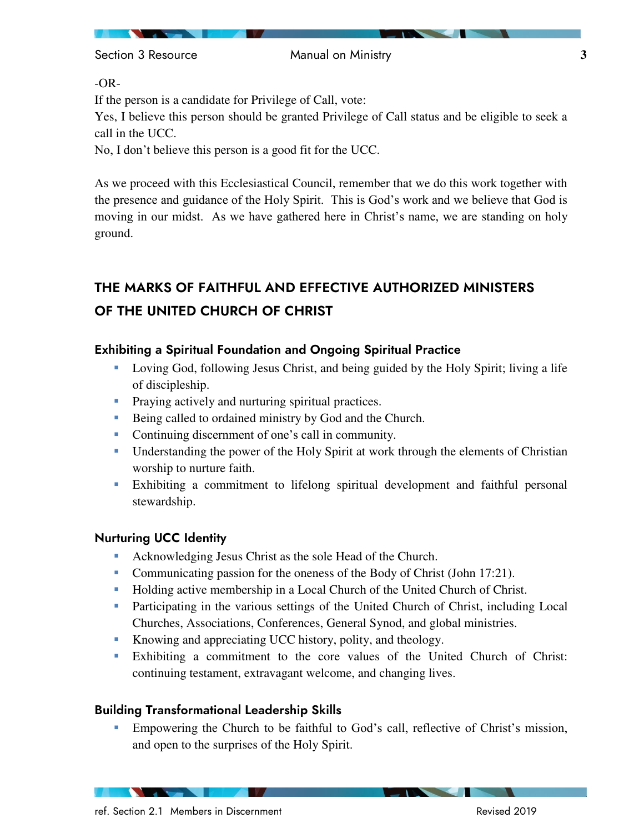Section 3 Resource **3** Manual on Ministry **3** 3

-OR-

If the person is a candidate for Privilege of Call, vote:

Yes, I believe this person should be granted Privilege of Call status and be eligible to seek a call in the UCC.

No, I don't believe this person is a good fit for the UCC.

As we proceed with this Ecclesiastical Council, remember that we do this work together with the presence and guidance of the Holy Spirit. This is God's work and we believe that God is moving in our midst. As we have gathered here in Christ's name, we are standing on holy ground.

# **THE MARKS OF FAITHFUL AND EFFECTIVE AUTHORIZED MINISTERS OF THE UNITED CHURCH OF CHRIST**

# **Exhibiting a Spiritual Foundation and Ongoing Spiritual Practice**

- Loving God, following Jesus Christ, and being guided by the Holy Spirit; living a life of discipleship.
- **Praying actively and nurturing spiritual practices.**
- Being called to ordained ministry by God and the Church.
- Continuing discernment of one's call in community.
- Understanding the power of the Holy Spirit at work through the elements of Christian worship to nurture faith.
- Exhibiting a commitment to lifelong spiritual development and faithful personal stewardship.

## **Nurturing UCC Identity**

- Acknowledging Jesus Christ as the sole Head of the Church.
- Communicating passion for the oneness of the Body of Christ (John 17:21).
- Holding active membership in a Local Church of the United Church of Christ.
- **Participating in the various settings of the United Church of Christ, including Local** Churches, Associations, Conferences, General Synod, and global ministries.
- Knowing and appreciating UCC history, polity, and theology.
- Exhibiting a commitment to the core values of the United Church of Christ: continuing testament, extravagant welcome, and changing lives.

## **Building Transformational Leadership Skills**

 Empowering the Church to be faithful to God's call, reflective of Christ's mission, and open to the surprises of the Holy Spirit.

**The Contract of Street**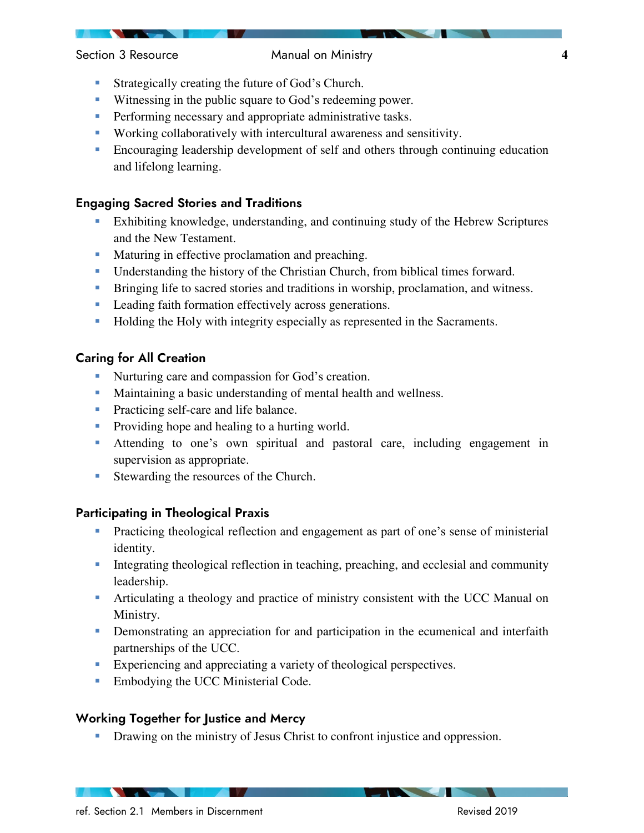#### Section 3 Resource **1988** Manual on Ministry **4** Manual Assembly 10 Manual Assembly 10 Manual Assembly 10 Manual Assembly 10 Manual Assembly 10 Manual Assembly 10 Manual Assembly 10 Manual Assembly 10 Manual Assembly 10 Ma

- **Strategically creating the future of God's Church.**
- **Witnessing in the public square to God's redeeming power.**
- **Performing necessary and appropriate administrative tasks.**
- Working collaboratively with intercultural awareness and sensitivity.
- Encouraging leadership development of self and others through continuing education and lifelong learning.

#### **Engaging Sacred Stories and Traditions**

- Exhibiting knowledge, understanding, and continuing study of the Hebrew Scriptures and the New Testament.
- **Maturing in effective proclamation and preaching.**
- Understanding the history of the Christian Church, from biblical times forward.
- **Bringing life to sacred stories and traditions in worship, proclamation, and witness.**
- **Leading faith formation effectively across generations.**
- **Holding the Holy with integrity especially as represented in the Sacraments.**

### **Caring for All Creation**

- Nurturing care and compassion for God's creation.
- Maintaining a basic understanding of mental health and wellness.
- **Practicing self-care and life balance.**
- **Providing hope and healing to a hurting world.**
- Attending to one's own spiritual and pastoral care, including engagement in supervision as appropriate.
- Stewarding the resources of the Church.

#### **Participating in Theological Praxis**

- **Practicing theological reflection and engagement as part of one's sense of ministerial** identity.
- Integrating theological reflection in teaching, preaching, and ecclesial and community leadership.
- Articulating a theology and practice of ministry consistent with the UCC Manual on Ministry.
- Demonstrating an appreciation for and participation in the ecumenical and interfaith partnerships of the UCC.
- Experiencing and appreciating a variety of theological perspectives.
- **Embodying the UCC Ministerial Code.**

### **Working Together for Justice and Mercy**

Drawing on the ministry of Jesus Christ to confront injustice and oppression.

ref. Section 2.1 Members in Discernment Revised 2019

**The Company of Company**